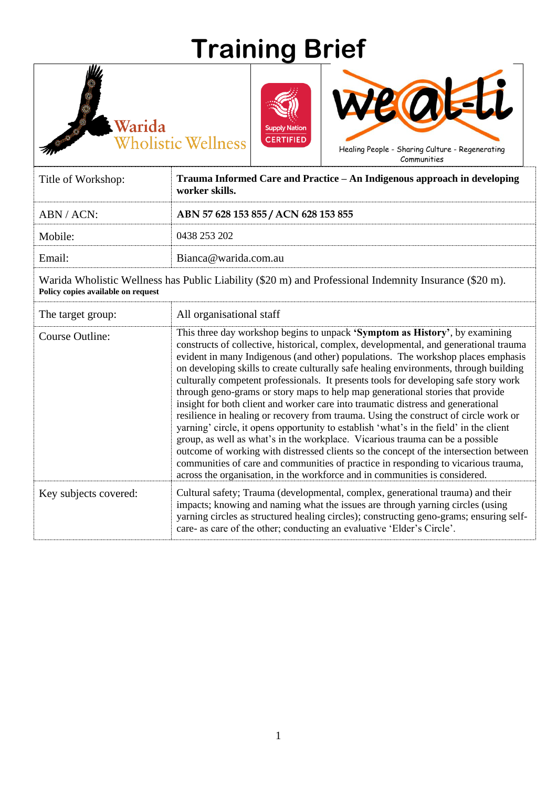## **Training Brief**



Warida

Ð

**Wholistic Wellness** 



Communities

7

| Title of Workshop: | Trauma Informed Care and Practice – An Indigenous approach in developing<br>worker skills. |
|--------------------|--------------------------------------------------------------------------------------------|
| ABN/ACN:           | ABN 57 628 153 855 / ACN 628 153 855                                                       |
| Mobile:            | 0438 253 202                                                                               |
| Email:             | Bianca@warida.com.au                                                                       |

Warida Wholistic Wellness has Public Liability (\$20 m) and Professional Indemnity Insurance (\$20 m). **Policy copies available on request** 

| The target group:     | All organisational staff                                                                                                                                                                                                                                                                                                                                                                                                                                                                                                                                                                                                                                                                                                                                                                                                                                                                                                                                                                                                                                                                                                                         |
|-----------------------|--------------------------------------------------------------------------------------------------------------------------------------------------------------------------------------------------------------------------------------------------------------------------------------------------------------------------------------------------------------------------------------------------------------------------------------------------------------------------------------------------------------------------------------------------------------------------------------------------------------------------------------------------------------------------------------------------------------------------------------------------------------------------------------------------------------------------------------------------------------------------------------------------------------------------------------------------------------------------------------------------------------------------------------------------------------------------------------------------------------------------------------------------|
| Course Outline:       | This three day workshop begins to unpack 'Symptom as History', by examining<br>constructs of collective, historical, complex, developmental, and generational trauma<br>evident in many Indigenous (and other) populations. The workshop places emphasis<br>on developing skills to create culturally safe healing environments, through building<br>culturally competent professionals. It presents tools for developing safe story work<br>through geno-grams or story maps to help map generational stories that provide<br>insight for both client and worker care into traumatic distress and generational<br>resilience in healing or recovery from trauma. Using the construct of circle work or<br>yarning' circle, it opens opportunity to establish 'what's in the field' in the client<br>group, as well as what's in the workplace. Vicarious trauma can be a possible<br>outcome of working with distressed clients so the concept of the intersection between<br>communities of care and communities of practice in responding to vicarious trauma,<br>across the organisation, in the workforce and in communities is considered. |
| Key subjects covered: | Cultural safety; Trauma (developmental, complex, generational trauma) and their<br>impacts; knowing and naming what the issues are through yarning circles (using<br>yarning circles as structured healing circles); constructing geno-grams; ensuring self-<br>care- as care of the other; conducting an evaluative 'Elder's Circle'.                                                                                                                                                                                                                                                                                                                                                                                                                                                                                                                                                                                                                                                                                                                                                                                                           |